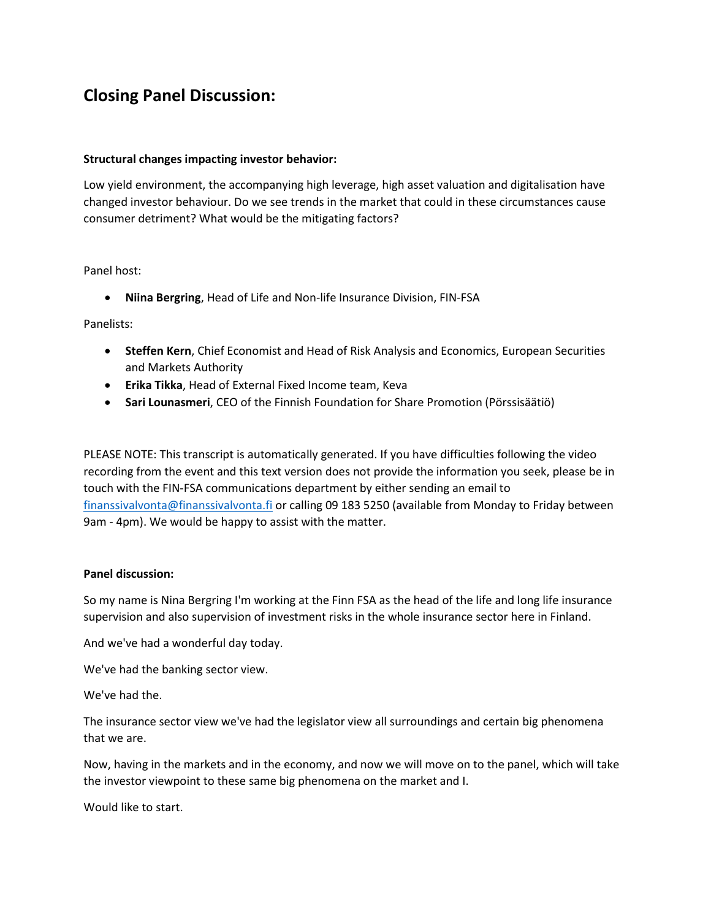## **Closing Panel Discussion:**

## **Structural changes impacting investor behavior:**

Low yield environment, the accompanying high leverage, high asset valuation and digitalisation have changed investor behaviour. Do we see trends in the market that could in these circumstances cause consumer detriment? What would be the mitigating factors?

## Panel host:

• **Niina Bergring**, Head of Life and Non-life Insurance Division, FIN-FSA

Panelists:

- **Steffen Kern**, Chief Economist and Head of Risk Analysis and Economics, European Securities and Markets Authority
- **Erika Tikka**, Head of External Fixed Income team, Keva
- **Sari Lounasmeri**, CEO of the Finnish Foundation for Share Promotion (Pörssisäätiö)

PLEASE NOTE: This transcript is automatically generated. If you have difficulties following the video recording from the event and this text version does not provide the information you seek, please be in touch with the FIN-FSA communications department by either sending an email to [finanssivalvonta@finanssivalvonta.fi](mailto:finanssivalvonta@finanssivalvonta.fi) or calling 09 183 5250 (available from Monday to Friday between 9am - 4pm). We would be happy to assist with the matter.

## **Panel discussion:**

So my name is Nina Bergring I'm working at the Finn FSA as the head of the life and long life insurance supervision and also supervision of investment risks in the whole insurance sector here in Finland.

And we've had a wonderful day today.

We've had the banking sector view.

We've had the.

The insurance sector view we've had the legislator view all surroundings and certain big phenomena that we are.

Now, having in the markets and in the economy, and now we will move on to the panel, which will take the investor viewpoint to these same big phenomena on the market and I.

Would like to start.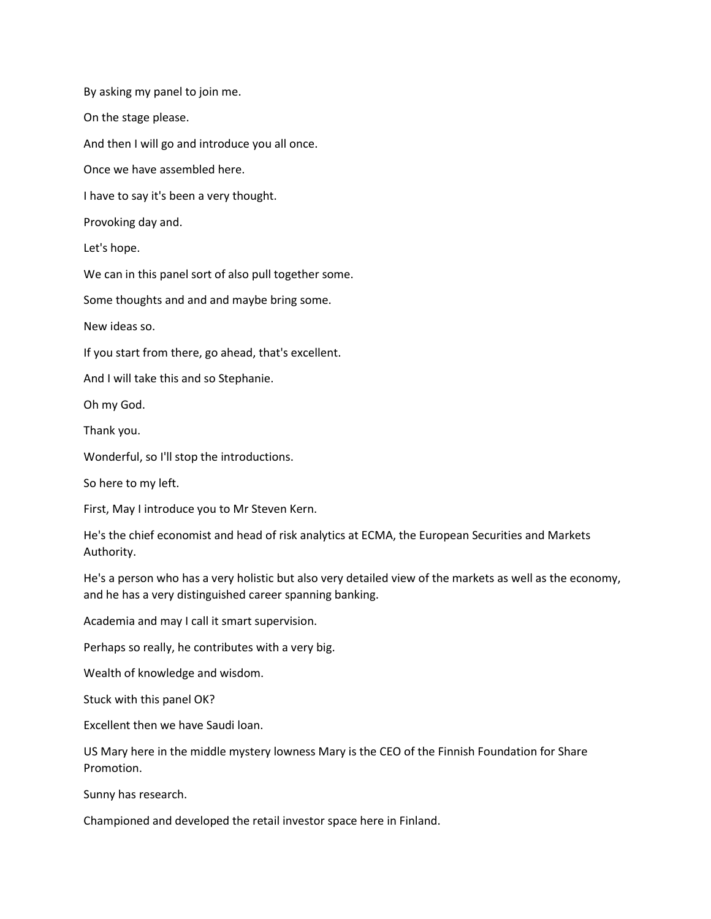By asking my panel to join me.

On the stage please.

And then I will go and introduce you all once.

Once we have assembled here.

I have to say it's been a very thought.

Provoking day and.

Let's hope.

We can in this panel sort of also pull together some.

Some thoughts and and and maybe bring some.

New ideas so.

If you start from there, go ahead, that's excellent.

And I will take this and so Stephanie.

Oh my God.

Thank you.

Wonderful, so I'll stop the introductions.

So here to my left.

First, May I introduce you to Mr Steven Kern.

He's the chief economist and head of risk analytics at ECMA, the European Securities and Markets Authority.

He's a person who has a very holistic but also very detailed view of the markets as well as the economy, and he has a very distinguished career spanning banking.

Academia and may I call it smart supervision.

Perhaps so really, he contributes with a very big.

Wealth of knowledge and wisdom.

Stuck with this panel OK?

Excellent then we have Saudi loan.

US Mary here in the middle mystery lowness Mary is the CEO of the Finnish Foundation for Share Promotion.

Sunny has research.

Championed and developed the retail investor space here in Finland.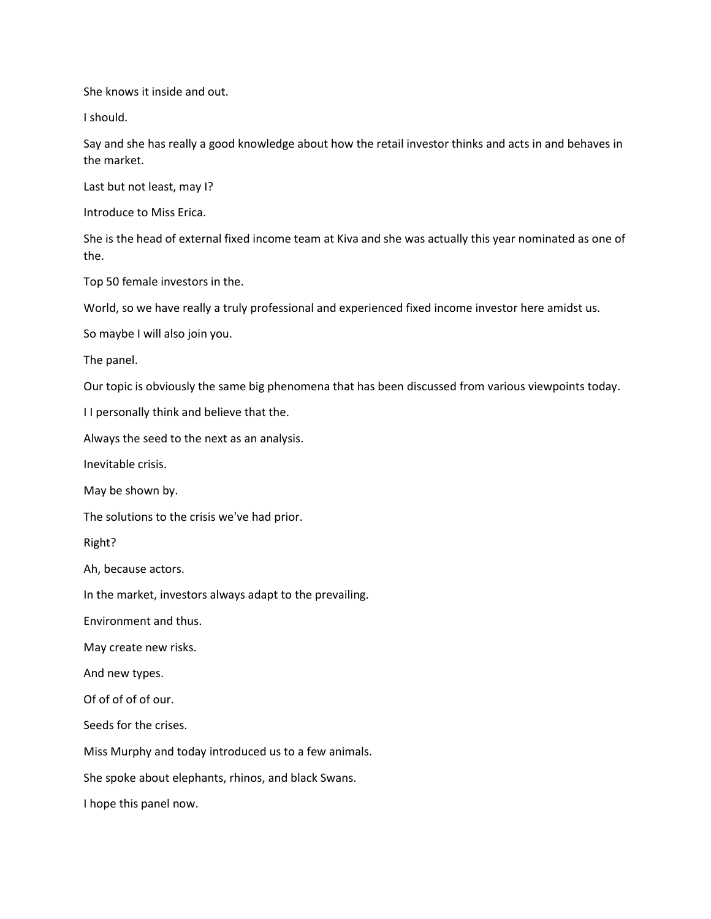She knows it inside and out.

I should.

Say and she has really a good knowledge about how the retail investor thinks and acts in and behaves in the market.

Last but not least, may I?

Introduce to Miss Erica.

She is the head of external fixed income team at Kiva and she was actually this year nominated as one of the.

Top 50 female investors in the.

World, so we have really a truly professional and experienced fixed income investor here amidst us.

So maybe I will also join you.

The panel.

Our topic is obviously the same big phenomena that has been discussed from various viewpoints today.

I I personally think and believe that the.

Always the seed to the next as an analysis.

Inevitable crisis.

May be shown by.

The solutions to the crisis we've had prior.

Right?

Ah, because actors.

In the market, investors always adapt to the prevailing.

Environment and thus.

May create new risks.

And new types.

Of of of of of our.

Seeds for the crises.

Miss Murphy and today introduced us to a few animals.

She spoke about elephants, rhinos, and black Swans.

I hope this panel now.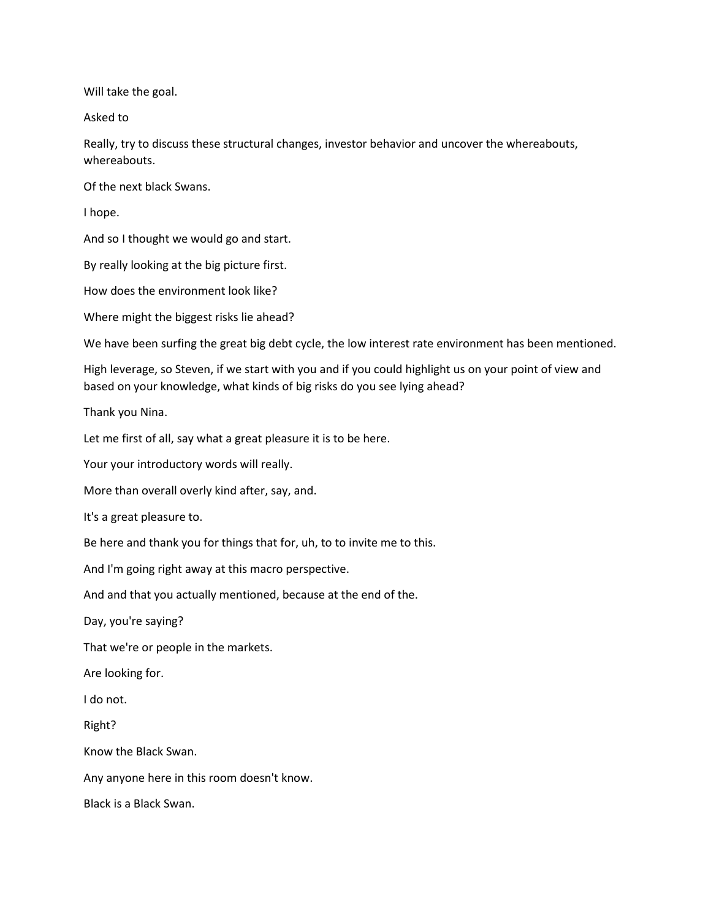Will take the goal.

Asked to

Really, try to discuss these structural changes, investor behavior and uncover the whereabouts, whereabouts.

Of the next black Swans.

I hope.

And so I thought we would go and start.

By really looking at the big picture first.

How does the environment look like?

Where might the biggest risks lie ahead?

We have been surfing the great big debt cycle, the low interest rate environment has been mentioned.

High leverage, so Steven, if we start with you and if you could highlight us on your point of view and based on your knowledge, what kinds of big risks do you see lying ahead?

Thank you Nina.

Let me first of all, say what a great pleasure it is to be here.

Your your introductory words will really.

More than overall overly kind after, say, and.

It's a great pleasure to.

Be here and thank you for things that for, uh, to to invite me to this.

And I'm going right away at this macro perspective.

And and that you actually mentioned, because at the end of the.

Day, you're saying?

That we're or people in the markets.

Are looking for.

I do not.

Right?

Know the Black Swan.

Any anyone here in this room doesn't know.

Black is a Black Swan.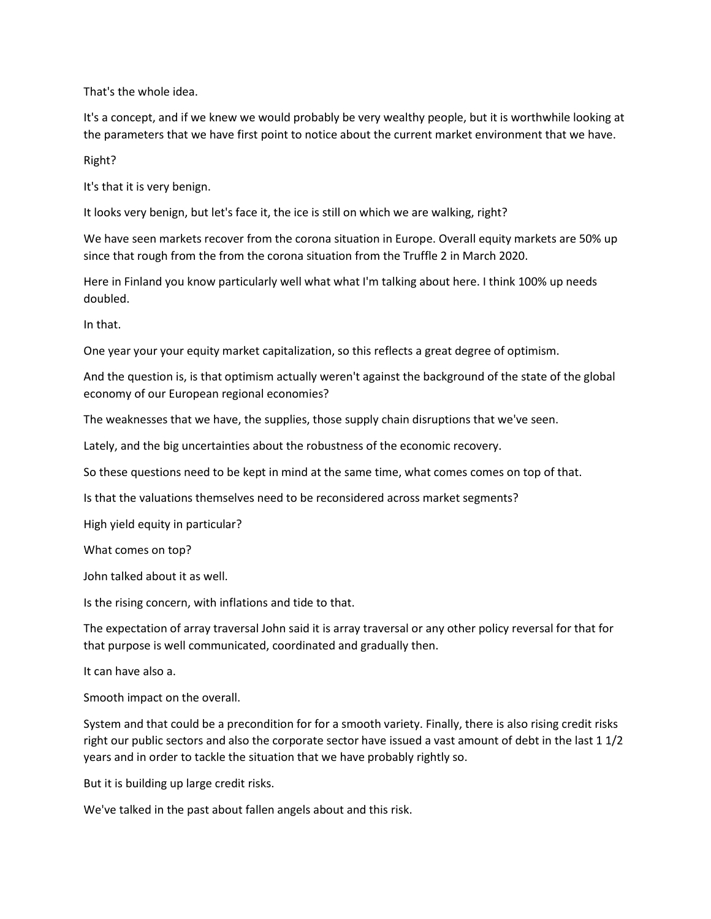That's the whole idea.

It's a concept, and if we knew we would probably be very wealthy people, but it is worthwhile looking at the parameters that we have first point to notice about the current market environment that we have.

Right?

It's that it is very benign.

It looks very benign, but let's face it, the ice is still on which we are walking, right?

We have seen markets recover from the corona situation in Europe. Overall equity markets are 50% up since that rough from the from the corona situation from the Truffle 2 in March 2020.

Here in Finland you know particularly well what what I'm talking about here. I think 100% up needs doubled.

In that.

One year your your equity market capitalization, so this reflects a great degree of optimism.

And the question is, is that optimism actually weren't against the background of the state of the global economy of our European regional economies?

The weaknesses that we have, the supplies, those supply chain disruptions that we've seen.

Lately, and the big uncertainties about the robustness of the economic recovery.

So these questions need to be kept in mind at the same time, what comes comes on top of that.

Is that the valuations themselves need to be reconsidered across market segments?

High yield equity in particular?

What comes on top?

John talked about it as well.

Is the rising concern, with inflations and tide to that.

The expectation of array traversal John said it is array traversal or any other policy reversal for that for that purpose is well communicated, coordinated and gradually then.

It can have also a.

Smooth impact on the overall.

System and that could be a precondition for for a smooth variety. Finally, there is also rising credit risks right our public sectors and also the corporate sector have issued a vast amount of debt in the last 1 1/2 years and in order to tackle the situation that we have probably rightly so.

But it is building up large credit risks.

We've talked in the past about fallen angels about and this risk.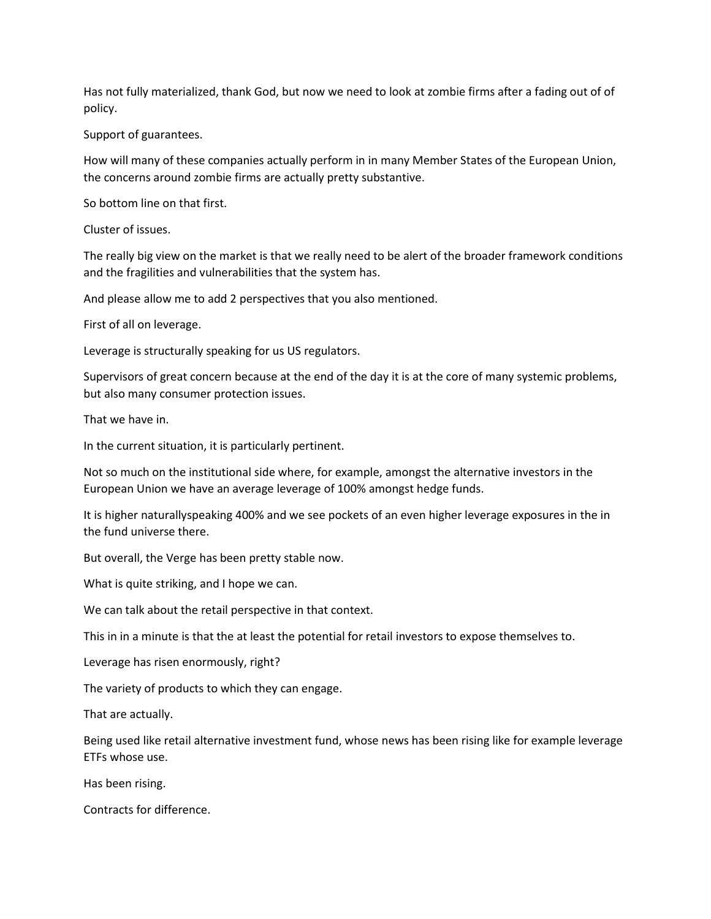Has not fully materialized, thank God, but now we need to look at zombie firms after a fading out of of policy.

Support of guarantees.

How will many of these companies actually perform in in many Member States of the European Union, the concerns around zombie firms are actually pretty substantive.

So bottom line on that first.

Cluster of issues.

The really big view on the market is that we really need to be alert of the broader framework conditions and the fragilities and vulnerabilities that the system has.

And please allow me to add 2 perspectives that you also mentioned.

First of all on leverage.

Leverage is structurally speaking for us US regulators.

Supervisors of great concern because at the end of the day it is at the core of many systemic problems, but also many consumer protection issues.

That we have in.

In the current situation, it is particularly pertinent.

Not so much on the institutional side where, for example, amongst the alternative investors in the European Union we have an average leverage of 100% amongst hedge funds.

It is higher naturallyspeaking 400% and we see pockets of an even higher leverage exposures in the in the fund universe there.

But overall, the Verge has been pretty stable now.

What is quite striking, and I hope we can.

We can talk about the retail perspective in that context.

This in in a minute is that the at least the potential for retail investors to expose themselves to.

Leverage has risen enormously, right?

The variety of products to which they can engage.

That are actually.

Being used like retail alternative investment fund, whose news has been rising like for example leverage ETFs whose use.

Has been rising.

Contracts for difference.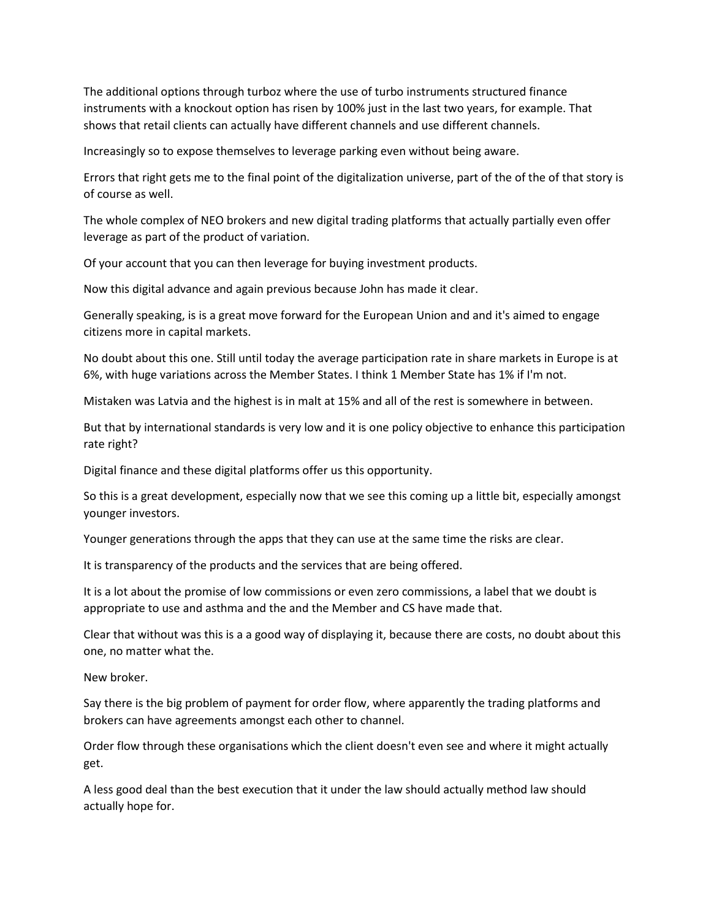The additional options through turboz where the use of turbo instruments structured finance instruments with a knockout option has risen by 100% just in the last two years, for example. That shows that retail clients can actually have different channels and use different channels.

Increasingly so to expose themselves to leverage parking even without being aware.

Errors that right gets me to the final point of the digitalization universe, part of the of the of that story is of course as well.

The whole complex of NEO brokers and new digital trading platforms that actually partially even offer leverage as part of the product of variation.

Of your account that you can then leverage for buying investment products.

Now this digital advance and again previous because John has made it clear.

Generally speaking, is is a great move forward for the European Union and and it's aimed to engage citizens more in capital markets.

No doubt about this one. Still until today the average participation rate in share markets in Europe is at 6%, with huge variations across the Member States. I think 1 Member State has 1% if I'm not.

Mistaken was Latvia and the highest is in malt at 15% and all of the rest is somewhere in between.

But that by international standards is very low and it is one policy objective to enhance this participation rate right?

Digital finance and these digital platforms offer us this opportunity.

So this is a great development, especially now that we see this coming up a little bit, especially amongst younger investors.

Younger generations through the apps that they can use at the same time the risks are clear.

It is transparency of the products and the services that are being offered.

It is a lot about the promise of low commissions or even zero commissions, a label that we doubt is appropriate to use and asthma and the and the Member and CS have made that.

Clear that without was this is a a good way of displaying it, because there are costs, no doubt about this one, no matter what the.

New broker.

Say there is the big problem of payment for order flow, where apparently the trading platforms and brokers can have agreements amongst each other to channel.

Order flow through these organisations which the client doesn't even see and where it might actually get.

A less good deal than the best execution that it under the law should actually method law should actually hope for.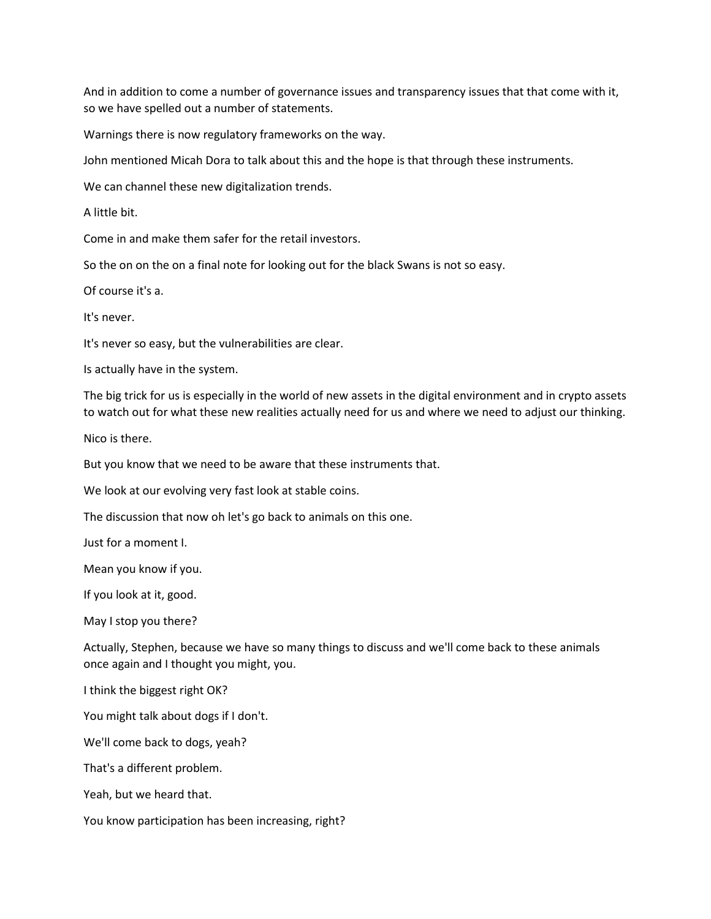And in addition to come a number of governance issues and transparency issues that that come with it, so we have spelled out a number of statements.

Warnings there is now regulatory frameworks on the way.

John mentioned Micah Dora to talk about this and the hope is that through these instruments.

We can channel these new digitalization trends.

A little bit.

Come in and make them safer for the retail investors.

So the on on the on a final note for looking out for the black Swans is not so easy.

Of course it's a.

It's never.

It's never so easy, but the vulnerabilities are clear.

Is actually have in the system.

The big trick for us is especially in the world of new assets in the digital environment and in crypto assets to watch out for what these new realities actually need for us and where we need to adjust our thinking.

Nico is there.

But you know that we need to be aware that these instruments that.

We look at our evolving very fast look at stable coins.

The discussion that now oh let's go back to animals on this one.

Just for a moment I.

Mean you know if you.

If you look at it, good.

May I stop you there?

Actually, Stephen, because we have so many things to discuss and we'll come back to these animals once again and I thought you might, you.

I think the biggest right OK?

You might talk about dogs if I don't.

We'll come back to dogs, yeah?

That's a different problem.

Yeah, but we heard that.

You know participation has been increasing, right?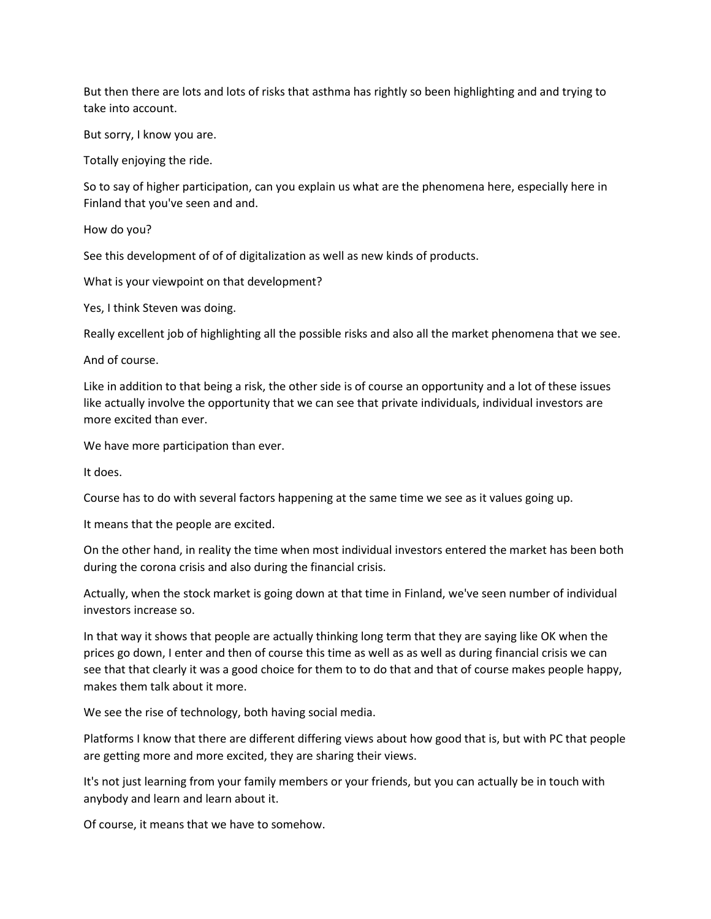But then there are lots and lots of risks that asthma has rightly so been highlighting and and trying to take into account.

But sorry, I know you are.

Totally enjoying the ride.

So to say of higher participation, can you explain us what are the phenomena here, especially here in Finland that you've seen and and.

How do you?

See this development of of of digitalization as well as new kinds of products.

What is your viewpoint on that development?

Yes, I think Steven was doing.

Really excellent job of highlighting all the possible risks and also all the market phenomena that we see.

And of course.

Like in addition to that being a risk, the other side is of course an opportunity and a lot of these issues like actually involve the opportunity that we can see that private individuals, individual investors are more excited than ever.

We have more participation than ever.

It does.

Course has to do with several factors happening at the same time we see as it values going up.

It means that the people are excited.

On the other hand, in reality the time when most individual investors entered the market has been both during the corona crisis and also during the financial crisis.

Actually, when the stock market is going down at that time in Finland, we've seen number of individual investors increase so.

In that way it shows that people are actually thinking long term that they are saying like OK when the prices go down, I enter and then of course this time as well as as well as during financial crisis we can see that that clearly it was a good choice for them to to do that and that of course makes people happy, makes them talk about it more.

We see the rise of technology, both having social media.

Platforms I know that there are different differing views about how good that is, but with PC that people are getting more and more excited, they are sharing their views.

It's not just learning from your family members or your friends, but you can actually be in touch with anybody and learn and learn about it.

Of course, it means that we have to somehow.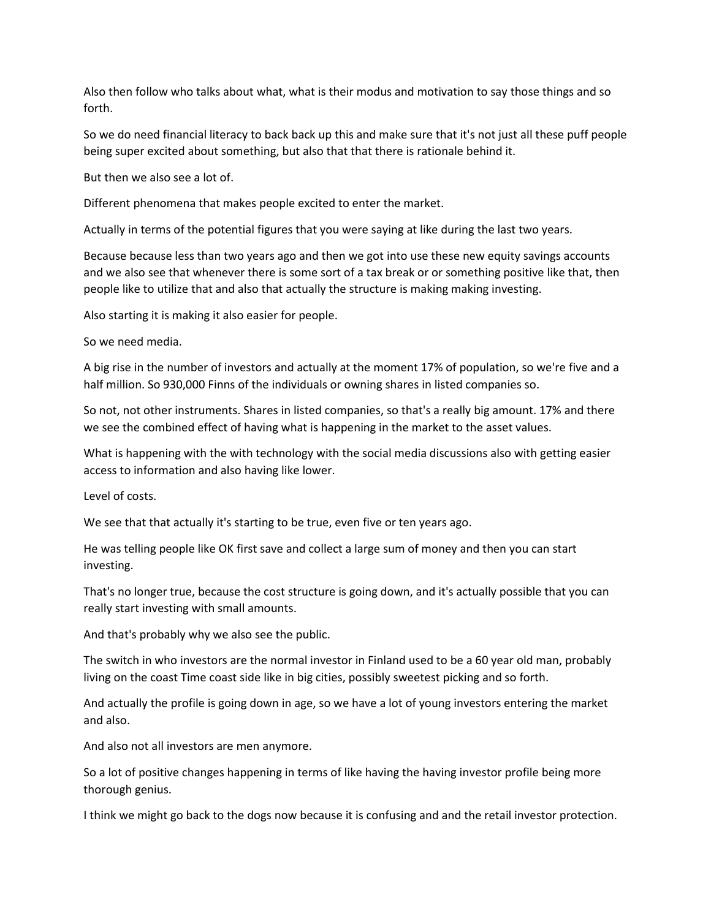Also then follow who talks about what, what is their modus and motivation to say those things and so forth.

So we do need financial literacy to back back up this and make sure that it's not just all these puff people being super excited about something, but also that that there is rationale behind it.

But then we also see a lot of.

Different phenomena that makes people excited to enter the market.

Actually in terms of the potential figures that you were saying at like during the last two years.

Because because less than two years ago and then we got into use these new equity savings accounts and we also see that whenever there is some sort of a tax break or or something positive like that, then people like to utilize that and also that actually the structure is making making investing.

Also starting it is making it also easier for people.

So we need media.

A big rise in the number of investors and actually at the moment 17% of population, so we're five and a half million. So 930,000 Finns of the individuals or owning shares in listed companies so.

So not, not other instruments. Shares in listed companies, so that's a really big amount. 17% and there we see the combined effect of having what is happening in the market to the asset values.

What is happening with the with technology with the social media discussions also with getting easier access to information and also having like lower.

Level of costs.

We see that that actually it's starting to be true, even five or ten years ago.

He was telling people like OK first save and collect a large sum of money and then you can start investing.

That's no longer true, because the cost structure is going down, and it's actually possible that you can really start investing with small amounts.

And that's probably why we also see the public.

The switch in who investors are the normal investor in Finland used to be a 60 year old man, probably living on the coast Time coast side like in big cities, possibly sweetest picking and so forth.

And actually the profile is going down in age, so we have a lot of young investors entering the market and also.

And also not all investors are men anymore.

So a lot of positive changes happening in terms of like having the having investor profile being more thorough genius.

I think we might go back to the dogs now because it is confusing and and the retail investor protection.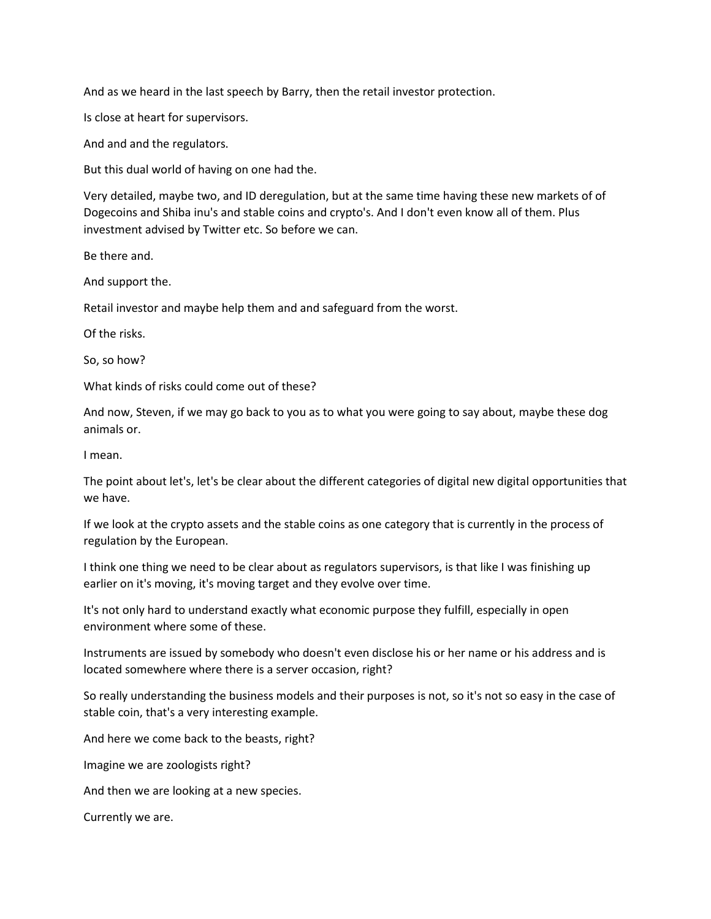And as we heard in the last speech by Barry, then the retail investor protection.

Is close at heart for supervisors.

And and and the regulators.

But this dual world of having on one had the.

Very detailed, maybe two, and ID deregulation, but at the same time having these new markets of of Dogecoins and Shiba inu's and stable coins and crypto's. And I don't even know all of them. Plus investment advised by Twitter etc. So before we can.

Be there and.

And support the.

Retail investor and maybe help them and and safeguard from the worst.

Of the risks.

So, so how?

What kinds of risks could come out of these?

And now, Steven, if we may go back to you as to what you were going to say about, maybe these dog animals or.

I mean.

The point about let's, let's be clear about the different categories of digital new digital opportunities that we have.

If we look at the crypto assets and the stable coins as one category that is currently in the process of regulation by the European.

I think one thing we need to be clear about as regulators supervisors, is that like I was finishing up earlier on it's moving, it's moving target and they evolve over time.

It's not only hard to understand exactly what economic purpose they fulfill, especially in open environment where some of these.

Instruments are issued by somebody who doesn't even disclose his or her name or his address and is located somewhere where there is a server occasion, right?

So really understanding the business models and their purposes is not, so it's not so easy in the case of stable coin, that's a very interesting example.

And here we come back to the beasts, right?

Imagine we are zoologists right?

And then we are looking at a new species.

Currently we are.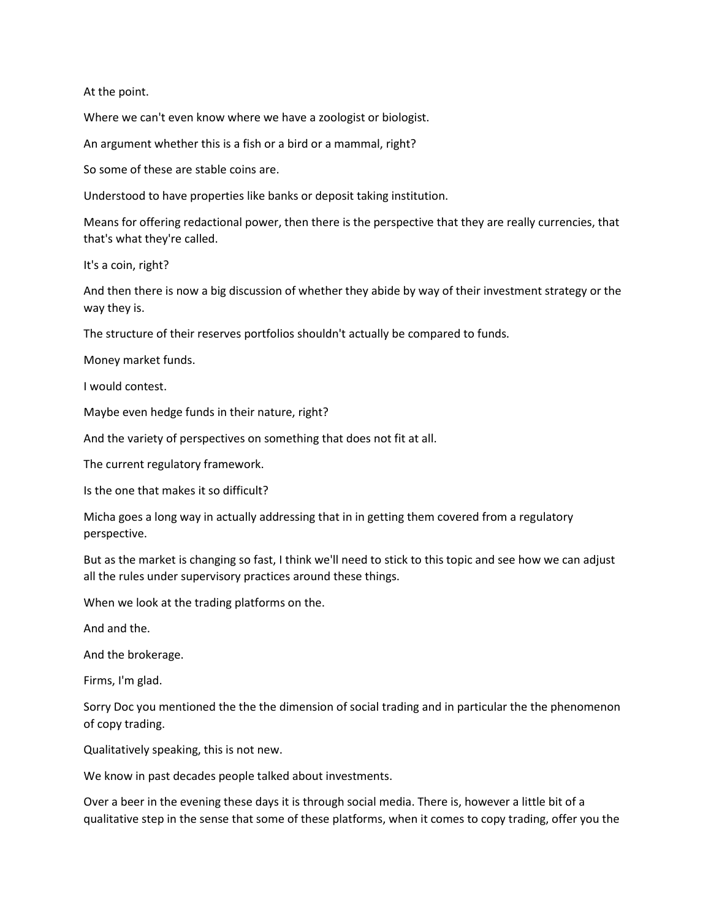At the point.

Where we can't even know where we have a zoologist or biologist.

An argument whether this is a fish or a bird or a mammal, right?

So some of these are stable coins are.

Understood to have properties like banks or deposit taking institution.

Means for offering redactional power, then there is the perspective that they are really currencies, that that's what they're called.

It's a coin, right?

And then there is now a big discussion of whether they abide by way of their investment strategy or the way they is.

The structure of their reserves portfolios shouldn't actually be compared to funds.

Money market funds.

I would contest.

Maybe even hedge funds in their nature, right?

And the variety of perspectives on something that does not fit at all.

The current regulatory framework.

Is the one that makes it so difficult?

Micha goes a long way in actually addressing that in in getting them covered from a regulatory perspective.

But as the market is changing so fast, I think we'll need to stick to this topic and see how we can adjust all the rules under supervisory practices around these things.

When we look at the trading platforms on the.

And and the.

And the brokerage.

Firms, I'm glad.

Sorry Doc you mentioned the the the dimension of social trading and in particular the the phenomenon of copy trading.

Qualitatively speaking, this is not new.

We know in past decades people talked about investments.

Over a beer in the evening these days it is through social media. There is, however a little bit of a qualitative step in the sense that some of these platforms, when it comes to copy trading, offer you the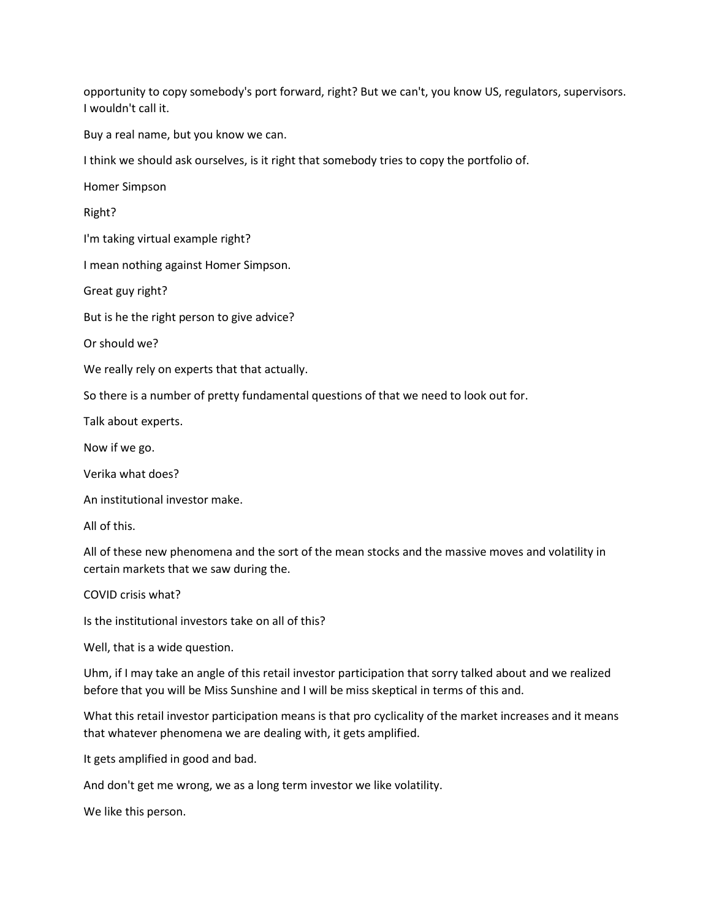opportunity to copy somebody's port forward, right? But we can't, you know US, regulators, supervisors. I wouldn't call it.

Buy a real name, but you know we can.

I think we should ask ourselves, is it right that somebody tries to copy the portfolio of.

Homer Simpson

Right?

I'm taking virtual example right?

I mean nothing against Homer Simpson.

Great guy right?

But is he the right person to give advice?

Or should we?

We really rely on experts that that actually.

So there is a number of pretty fundamental questions of that we need to look out for.

Talk about experts.

Now if we go.

Verika what does?

An institutional investor make.

All of this.

All of these new phenomena and the sort of the mean stocks and the massive moves and volatility in certain markets that we saw during the.

COVID crisis what?

Is the institutional investors take on all of this?

Well, that is a wide question.

Uhm, if I may take an angle of this retail investor participation that sorry talked about and we realized before that you will be Miss Sunshine and I will be miss skeptical in terms of this and.

What this retail investor participation means is that pro cyclicality of the market increases and it means that whatever phenomena we are dealing with, it gets amplified.

It gets amplified in good and bad.

And don't get me wrong, we as a long term investor we like volatility.

We like this person.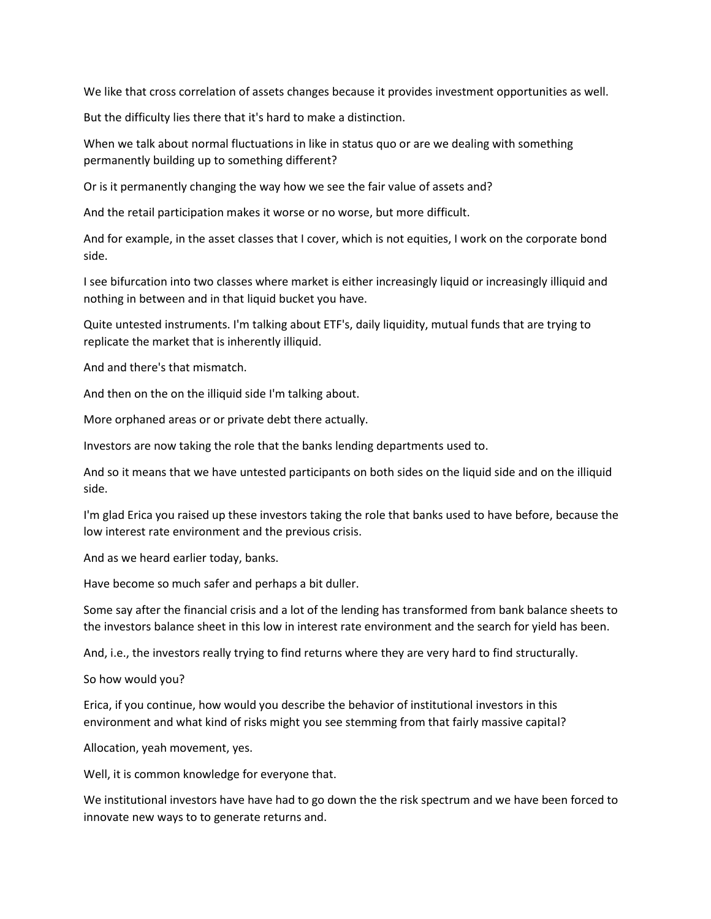We like that cross correlation of assets changes because it provides investment opportunities as well.

But the difficulty lies there that it's hard to make a distinction.

When we talk about normal fluctuations in like in status quo or are we dealing with something permanently building up to something different?

Or is it permanently changing the way how we see the fair value of assets and?

And the retail participation makes it worse or no worse, but more difficult.

And for example, in the asset classes that I cover, which is not equities, I work on the corporate bond side.

I see bifurcation into two classes where market is either increasingly liquid or increasingly illiquid and nothing in between and in that liquid bucket you have.

Quite untested instruments. I'm talking about ETF's, daily liquidity, mutual funds that are trying to replicate the market that is inherently illiquid.

And and there's that mismatch.

And then on the on the illiquid side I'm talking about.

More orphaned areas or or private debt there actually.

Investors are now taking the role that the banks lending departments used to.

And so it means that we have untested participants on both sides on the liquid side and on the illiquid side.

I'm glad Erica you raised up these investors taking the role that banks used to have before, because the low interest rate environment and the previous crisis.

And as we heard earlier today, banks.

Have become so much safer and perhaps a bit duller.

Some say after the financial crisis and a lot of the lending has transformed from bank balance sheets to the investors balance sheet in this low in interest rate environment and the search for yield has been.

And, i.e., the investors really trying to find returns where they are very hard to find structurally.

So how would you?

Erica, if you continue, how would you describe the behavior of institutional investors in this environment and what kind of risks might you see stemming from that fairly massive capital?

Allocation, yeah movement, yes.

Well, it is common knowledge for everyone that.

We institutional investors have have had to go down the the risk spectrum and we have been forced to innovate new ways to to generate returns and.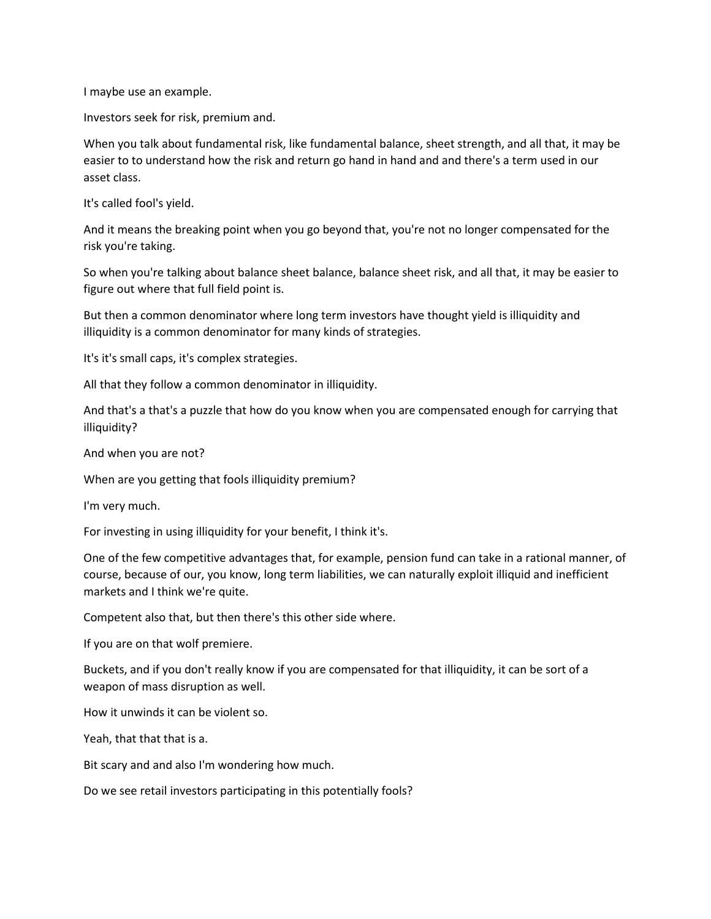I maybe use an example.

Investors seek for risk, premium and.

When you talk about fundamental risk, like fundamental balance, sheet strength, and all that, it may be easier to to understand how the risk and return go hand in hand and and there's a term used in our asset class.

It's called fool's yield.

And it means the breaking point when you go beyond that, you're not no longer compensated for the risk you're taking.

So when you're talking about balance sheet balance, balance sheet risk, and all that, it may be easier to figure out where that full field point is.

But then a common denominator where long term investors have thought yield is illiquidity and illiquidity is a common denominator for many kinds of strategies.

It's it's small caps, it's complex strategies.

All that they follow a common denominator in illiquidity.

And that's a that's a puzzle that how do you know when you are compensated enough for carrying that illiquidity?

And when you are not?

When are you getting that fools illiquidity premium?

I'm very much.

For investing in using illiquidity for your benefit, I think it's.

One of the few competitive advantages that, for example, pension fund can take in a rational manner, of course, because of our, you know, long term liabilities, we can naturally exploit illiquid and inefficient markets and I think we're quite.

Competent also that, but then there's this other side where.

If you are on that wolf premiere.

Buckets, and if you don't really know if you are compensated for that illiquidity, it can be sort of a weapon of mass disruption as well.

How it unwinds it can be violent so.

Yeah, that that that is a.

Bit scary and and also I'm wondering how much.

Do we see retail investors participating in this potentially fools?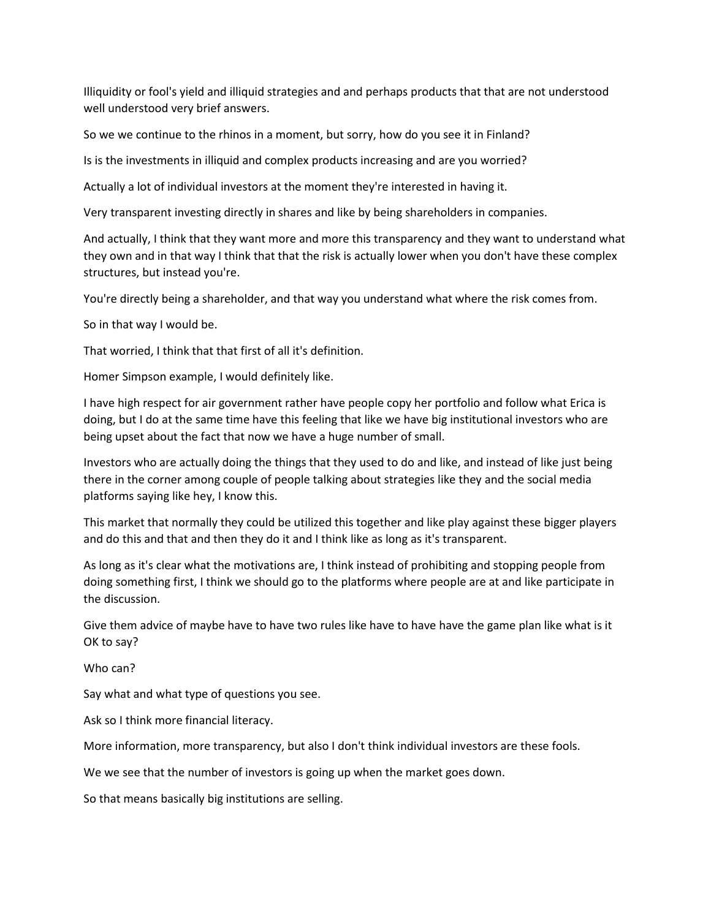Illiquidity or fool's yield and illiquid strategies and and perhaps products that that are not understood well understood very brief answers.

So we we continue to the rhinos in a moment, but sorry, how do you see it in Finland?

Is is the investments in illiquid and complex products increasing and are you worried?

Actually a lot of individual investors at the moment they're interested in having it.

Very transparent investing directly in shares and like by being shareholders in companies.

And actually, I think that they want more and more this transparency and they want to understand what they own and in that way I think that that the risk is actually lower when you don't have these complex structures, but instead you're.

You're directly being a shareholder, and that way you understand what where the risk comes from.

So in that way I would be.

That worried, I think that that first of all it's definition.

Homer Simpson example, I would definitely like.

I have high respect for air government rather have people copy her portfolio and follow what Erica is doing, but I do at the same time have this feeling that like we have big institutional investors who are being upset about the fact that now we have a huge number of small.

Investors who are actually doing the things that they used to do and like, and instead of like just being there in the corner among couple of people talking about strategies like they and the social media platforms saying like hey, I know this.

This market that normally they could be utilized this together and like play against these bigger players and do this and that and then they do it and I think like as long as it's transparent.

As long as it's clear what the motivations are, I think instead of prohibiting and stopping people from doing something first, I think we should go to the platforms where people are at and like participate in the discussion.

Give them advice of maybe have to have two rules like have to have have the game plan like what is it OK to say?

Who can?

Say what and what type of questions you see.

Ask so I think more financial literacy.

More information, more transparency, but also I don't think individual investors are these fools.

We we see that the number of investors is going up when the market goes down.

So that means basically big institutions are selling.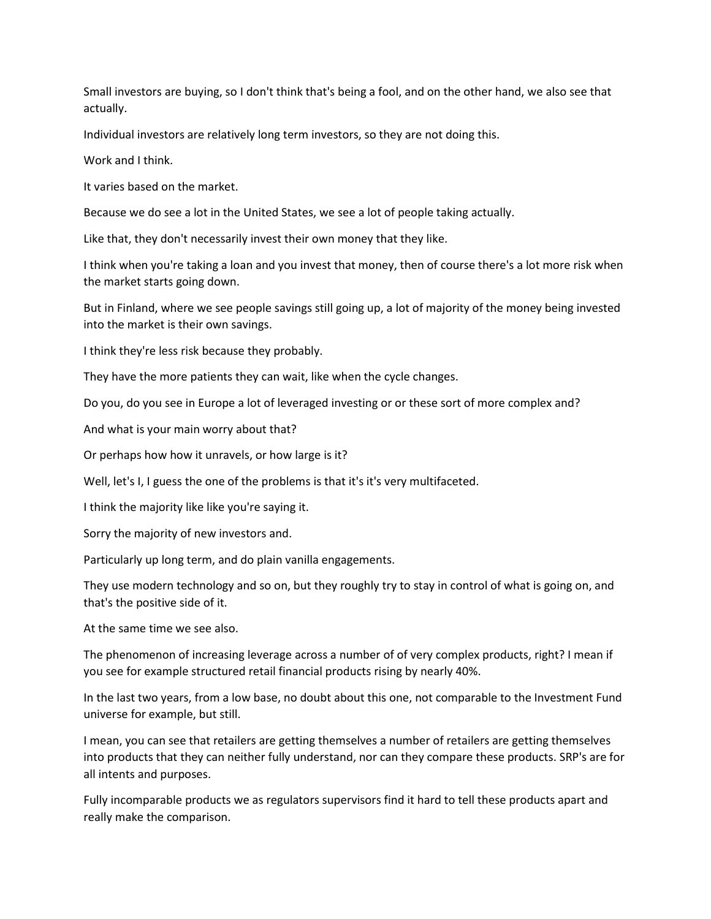Small investors are buying, so I don't think that's being a fool, and on the other hand, we also see that actually.

Individual investors are relatively long term investors, so they are not doing this.

Work and I think.

It varies based on the market.

Because we do see a lot in the United States, we see a lot of people taking actually.

Like that, they don't necessarily invest their own money that they like.

I think when you're taking a loan and you invest that money, then of course there's a lot more risk when the market starts going down.

But in Finland, where we see people savings still going up, a lot of majority of the money being invested into the market is their own savings.

I think they're less risk because they probably.

They have the more patients they can wait, like when the cycle changes.

Do you, do you see in Europe a lot of leveraged investing or or these sort of more complex and?

And what is your main worry about that?

Or perhaps how how it unravels, or how large is it?

Well, let's I, I guess the one of the problems is that it's it's very multifaceted.

I think the majority like like you're saying it.

Sorry the majority of new investors and.

Particularly up long term, and do plain vanilla engagements.

They use modern technology and so on, but they roughly try to stay in control of what is going on, and that's the positive side of it.

At the same time we see also.

The phenomenon of increasing leverage across a number of of very complex products, right? I mean if you see for example structured retail financial products rising by nearly 40%.

In the last two years, from a low base, no doubt about this one, not comparable to the Investment Fund universe for example, but still.

I mean, you can see that retailers are getting themselves a number of retailers are getting themselves into products that they can neither fully understand, nor can they compare these products. SRP's are for all intents and purposes.

Fully incomparable products we as regulators supervisors find it hard to tell these products apart and really make the comparison.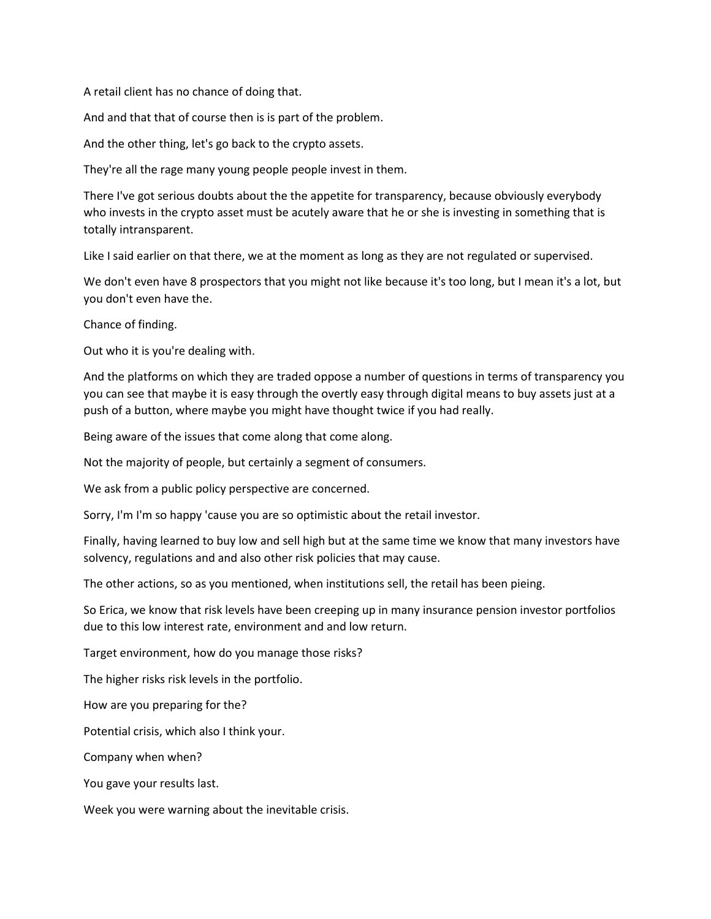A retail client has no chance of doing that.

And and that that of course then is is part of the problem.

And the other thing, let's go back to the crypto assets.

They're all the rage many young people people invest in them.

There I've got serious doubts about the the appetite for transparency, because obviously everybody who invests in the crypto asset must be acutely aware that he or she is investing in something that is totally intransparent.

Like I said earlier on that there, we at the moment as long as they are not regulated or supervised.

We don't even have 8 prospectors that you might not like because it's too long, but I mean it's a lot, but you don't even have the.

Chance of finding.

Out who it is you're dealing with.

And the platforms on which they are traded oppose a number of questions in terms of transparency you you can see that maybe it is easy through the overtly easy through digital means to buy assets just at a push of a button, where maybe you might have thought twice if you had really.

Being aware of the issues that come along that come along.

Not the majority of people, but certainly a segment of consumers.

We ask from a public policy perspective are concerned.

Sorry, I'm I'm so happy 'cause you are so optimistic about the retail investor.

Finally, having learned to buy low and sell high but at the same time we know that many investors have solvency, regulations and and also other risk policies that may cause.

The other actions, so as you mentioned, when institutions sell, the retail has been pieing.

So Erica, we know that risk levels have been creeping up in many insurance pension investor portfolios due to this low interest rate, environment and and low return.

Target environment, how do you manage those risks?

The higher risks risk levels in the portfolio.

How are you preparing for the?

Potential crisis, which also I think your.

Company when when?

You gave your results last.

Week you were warning about the inevitable crisis.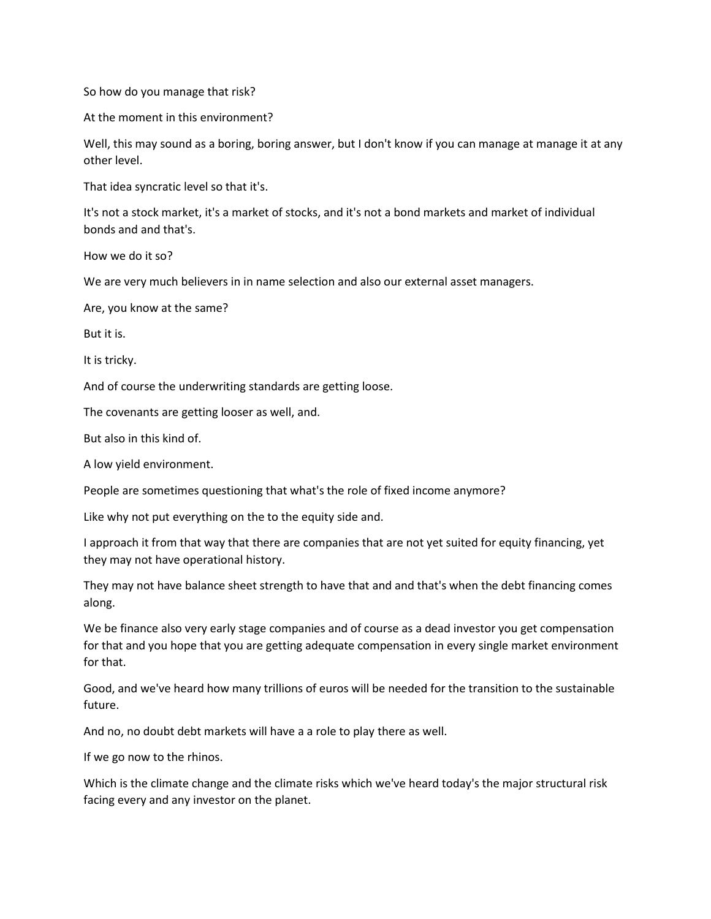So how do you manage that risk?

At the moment in this environment?

Well, this may sound as a boring, boring answer, but I don't know if you can manage at manage it at any other level.

That idea syncratic level so that it's.

It's not a stock market, it's a market of stocks, and it's not a bond markets and market of individual bonds and and that's.

How we do it so?

We are very much believers in in name selection and also our external asset managers.

Are, you know at the same?

But it is.

It is tricky.

And of course the underwriting standards are getting loose.

The covenants are getting looser as well, and.

But also in this kind of.

A low yield environment.

People are sometimes questioning that what's the role of fixed income anymore?

Like why not put everything on the to the equity side and.

I approach it from that way that there are companies that are not yet suited for equity financing, yet they may not have operational history.

They may not have balance sheet strength to have that and and that's when the debt financing comes along.

We be finance also very early stage companies and of course as a dead investor you get compensation for that and you hope that you are getting adequate compensation in every single market environment for that.

Good, and we've heard how many trillions of euros will be needed for the transition to the sustainable future.

And no, no doubt debt markets will have a a role to play there as well.

If we go now to the rhinos.

Which is the climate change and the climate risks which we've heard today's the major structural risk facing every and any investor on the planet.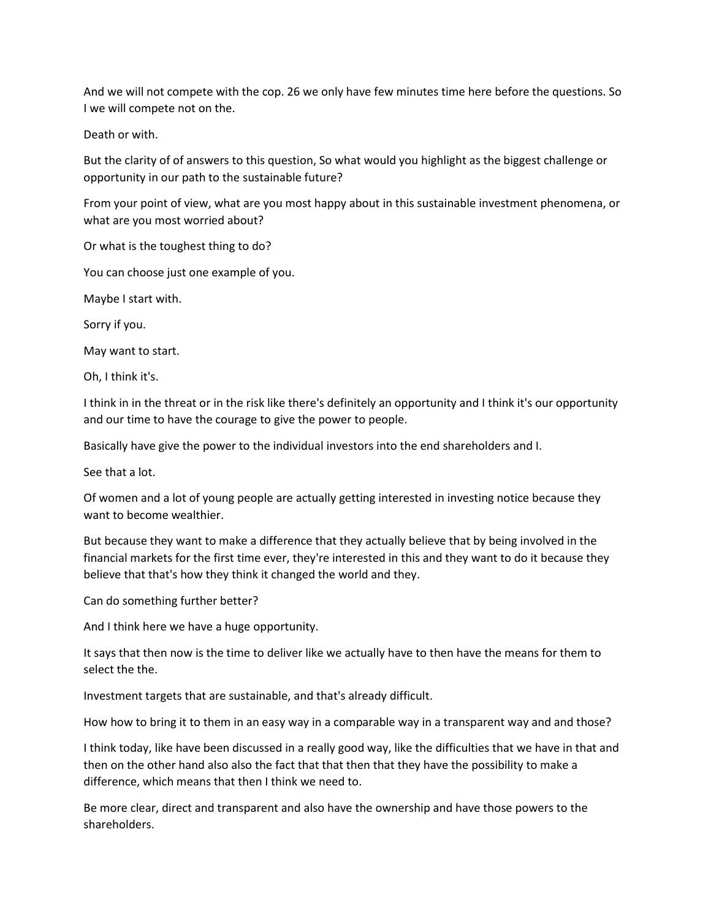And we will not compete with the cop. 26 we only have few minutes time here before the questions. So I we will compete not on the.

Death or with.

But the clarity of of answers to this question, So what would you highlight as the biggest challenge or opportunity in our path to the sustainable future?

From your point of view, what are you most happy about in this sustainable investment phenomena, or what are you most worried about?

Or what is the toughest thing to do?

You can choose just one example of you.

Maybe I start with.

Sorry if you.

May want to start.

Oh, I think it's.

I think in in the threat or in the risk like there's definitely an opportunity and I think it's our opportunity and our time to have the courage to give the power to people.

Basically have give the power to the individual investors into the end shareholders and I.

See that a lot.

Of women and a lot of young people are actually getting interested in investing notice because they want to become wealthier.

But because they want to make a difference that they actually believe that by being involved in the financial markets for the first time ever, they're interested in this and they want to do it because they believe that that's how they think it changed the world and they.

Can do something further better?

And I think here we have a huge opportunity.

It says that then now is the time to deliver like we actually have to then have the means for them to select the the.

Investment targets that are sustainable, and that's already difficult.

How how to bring it to them in an easy way in a comparable way in a transparent way and and those?

I think today, like have been discussed in a really good way, like the difficulties that we have in that and then on the other hand also also the fact that that then that they have the possibility to make a difference, which means that then I think we need to.

Be more clear, direct and transparent and also have the ownership and have those powers to the shareholders.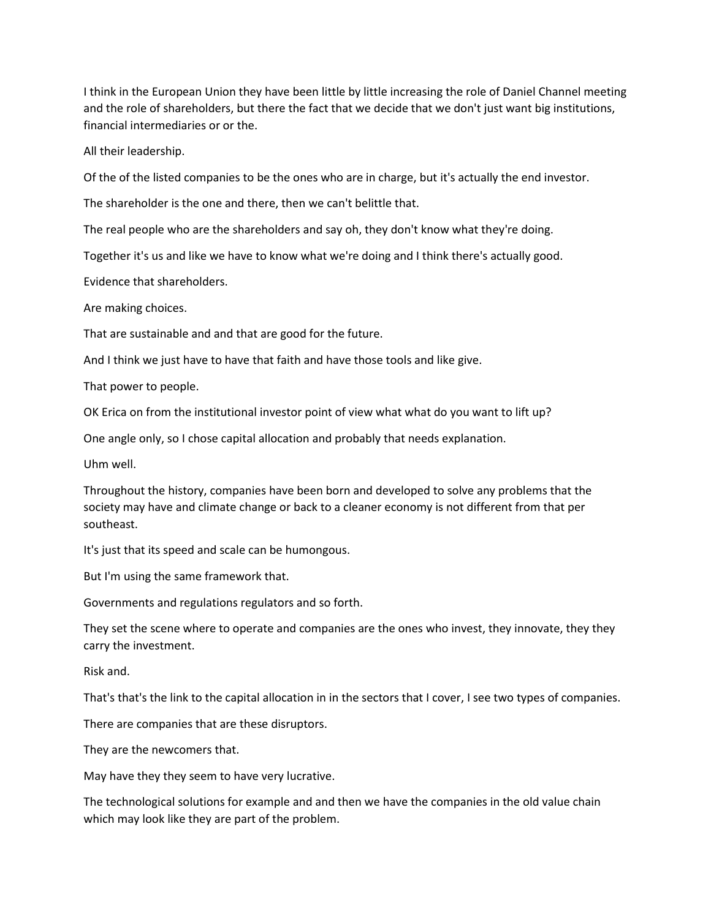I think in the European Union they have been little by little increasing the role of Daniel Channel meeting and the role of shareholders, but there the fact that we decide that we don't just want big institutions, financial intermediaries or or the.

All their leadership.

Of the of the listed companies to be the ones who are in charge, but it's actually the end investor.

The shareholder is the one and there, then we can't belittle that.

The real people who are the shareholders and say oh, they don't know what they're doing.

Together it's us and like we have to know what we're doing and I think there's actually good.

Evidence that shareholders.

Are making choices.

That are sustainable and and that are good for the future.

And I think we just have to have that faith and have those tools and like give.

That power to people.

OK Erica on from the institutional investor point of view what what do you want to lift up?

One angle only, so I chose capital allocation and probably that needs explanation.

Uhm well.

Throughout the history, companies have been born and developed to solve any problems that the society may have and climate change or back to a cleaner economy is not different from that per southeast.

It's just that its speed and scale can be humongous.

But I'm using the same framework that.

Governments and regulations regulators and so forth.

They set the scene where to operate and companies are the ones who invest, they innovate, they they carry the investment.

Risk and.

That's that's the link to the capital allocation in in the sectors that I cover, I see two types of companies.

There are companies that are these disruptors.

They are the newcomers that.

May have they they seem to have very lucrative.

The technological solutions for example and and then we have the companies in the old value chain which may look like they are part of the problem.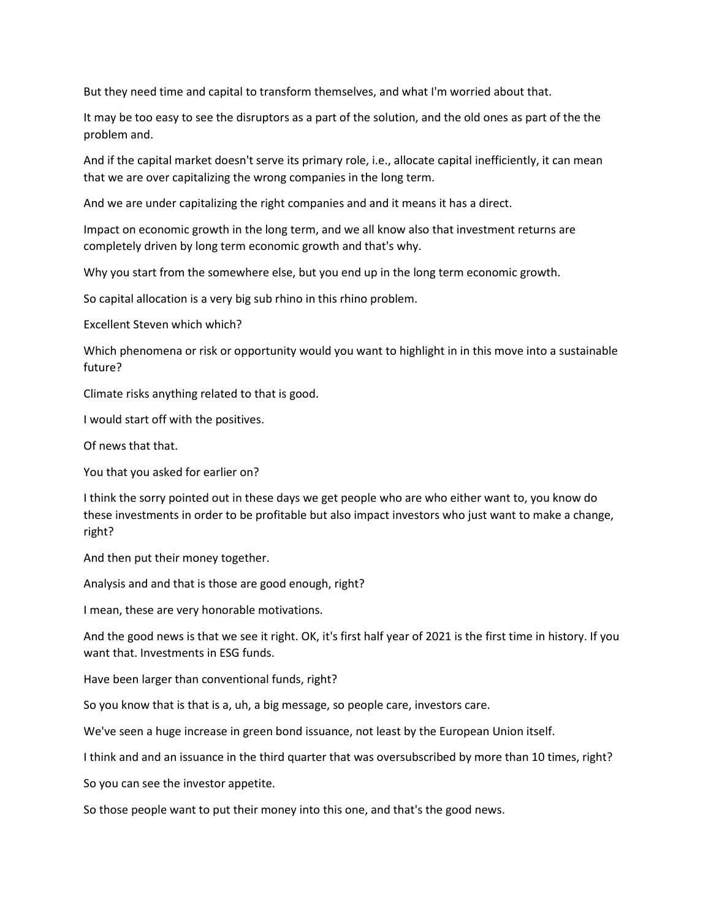But they need time and capital to transform themselves, and what I'm worried about that.

It may be too easy to see the disruptors as a part of the solution, and the old ones as part of the the problem and.

And if the capital market doesn't serve its primary role, i.e., allocate capital inefficiently, it can mean that we are over capitalizing the wrong companies in the long term.

And we are under capitalizing the right companies and and it means it has a direct.

Impact on economic growth in the long term, and we all know also that investment returns are completely driven by long term economic growth and that's why.

Why you start from the somewhere else, but you end up in the long term economic growth.

So capital allocation is a very big sub rhino in this rhino problem.

Excellent Steven which which?

Which phenomena or risk or opportunity would you want to highlight in in this move into a sustainable future?

Climate risks anything related to that is good.

I would start off with the positives.

Of news that that.

You that you asked for earlier on?

I think the sorry pointed out in these days we get people who are who either want to, you know do these investments in order to be profitable but also impact investors who just want to make a change, right?

And then put their money together.

Analysis and and that is those are good enough, right?

I mean, these are very honorable motivations.

And the good news is that we see it right. OK, it's first half year of 2021 is the first time in history. If you want that. Investments in ESG funds.

Have been larger than conventional funds, right?

So you know that is that is a, uh, a big message, so people care, investors care.

We've seen a huge increase in green bond issuance, not least by the European Union itself.

I think and and an issuance in the third quarter that was oversubscribed by more than 10 times, right?

So you can see the investor appetite.

So those people want to put their money into this one, and that's the good news.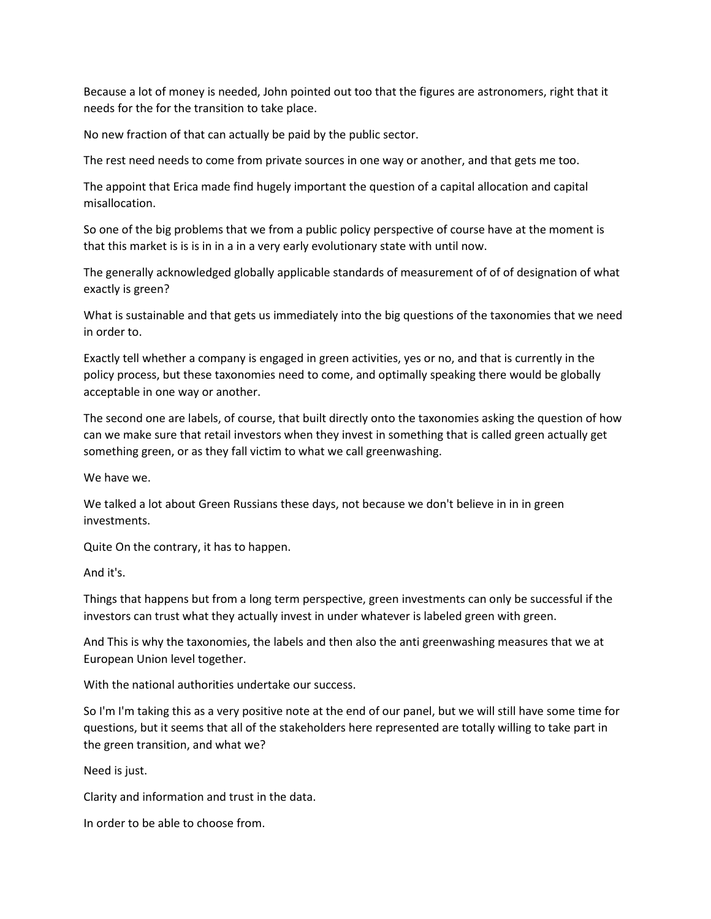Because a lot of money is needed, John pointed out too that the figures are astronomers, right that it needs for the for the transition to take place.

No new fraction of that can actually be paid by the public sector.

The rest need needs to come from private sources in one way or another, and that gets me too.

The appoint that Erica made find hugely important the question of a capital allocation and capital misallocation.

So one of the big problems that we from a public policy perspective of course have at the moment is that this market is is is in in a in a very early evolutionary state with until now.

The generally acknowledged globally applicable standards of measurement of of of designation of what exactly is green?

What is sustainable and that gets us immediately into the big questions of the taxonomies that we need in order to.

Exactly tell whether a company is engaged in green activities, yes or no, and that is currently in the policy process, but these taxonomies need to come, and optimally speaking there would be globally acceptable in one way or another.

The second one are labels, of course, that built directly onto the taxonomies asking the question of how can we make sure that retail investors when they invest in something that is called green actually get something green, or as they fall victim to what we call greenwashing.

We have we.

We talked a lot about Green Russians these days, not because we don't believe in in in green investments.

Quite On the contrary, it has to happen.

And it's.

Things that happens but from a long term perspective, green investments can only be successful if the investors can trust what they actually invest in under whatever is labeled green with green.

And This is why the taxonomies, the labels and then also the anti greenwashing measures that we at European Union level together.

With the national authorities undertake our success.

So I'm I'm taking this as a very positive note at the end of our panel, but we will still have some time for questions, but it seems that all of the stakeholders here represented are totally willing to take part in the green transition, and what we?

Need is just.

Clarity and information and trust in the data.

In order to be able to choose from.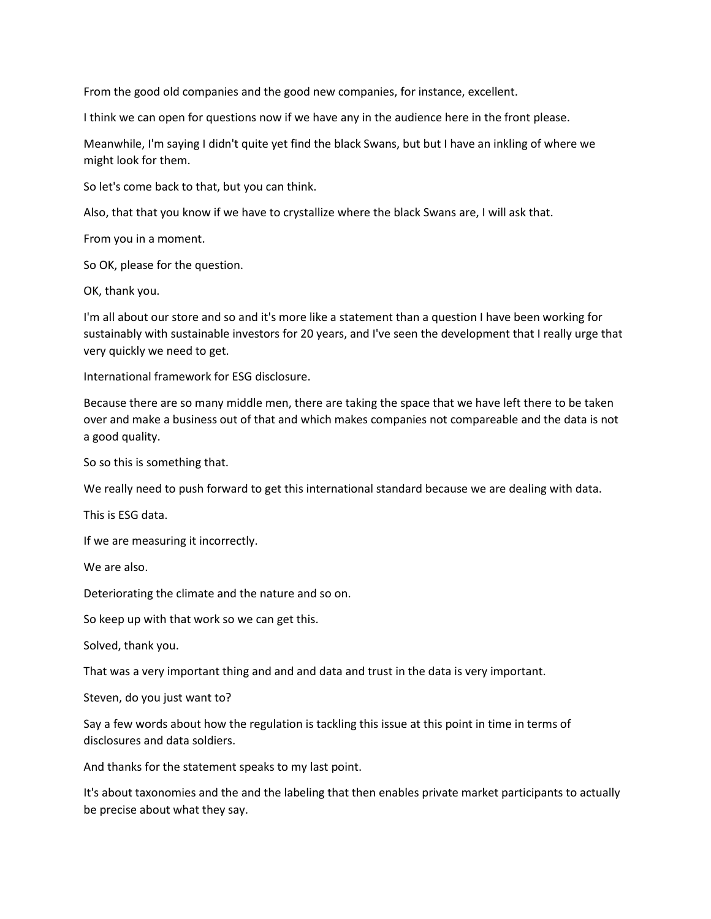From the good old companies and the good new companies, for instance, excellent.

I think we can open for questions now if we have any in the audience here in the front please.

Meanwhile, I'm saying I didn't quite yet find the black Swans, but but I have an inkling of where we might look for them.

So let's come back to that, but you can think.

Also, that that you know if we have to crystallize where the black Swans are, I will ask that.

From you in a moment.

So OK, please for the question.

OK, thank you.

I'm all about our store and so and it's more like a statement than a question I have been working for sustainably with sustainable investors for 20 years, and I've seen the development that I really urge that very quickly we need to get.

International framework for ESG disclosure.

Because there are so many middle men, there are taking the space that we have left there to be taken over and make a business out of that and which makes companies not compareable and the data is not a good quality.

So so this is something that.

We really need to push forward to get this international standard because we are dealing with data.

This is ESG data.

If we are measuring it incorrectly.

We are also.

Deteriorating the climate and the nature and so on.

So keep up with that work so we can get this.

Solved, thank you.

That was a very important thing and and and data and trust in the data is very important.

Steven, do you just want to?

Say a few words about how the regulation is tackling this issue at this point in time in terms of disclosures and data soldiers.

And thanks for the statement speaks to my last point.

It's about taxonomies and the and the labeling that then enables private market participants to actually be precise about what they say.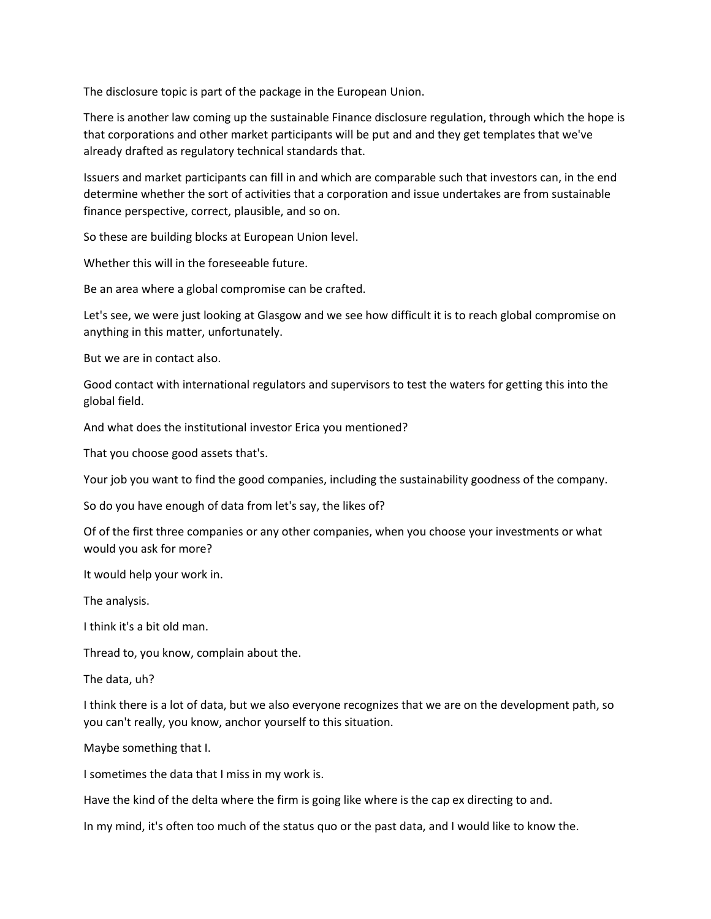The disclosure topic is part of the package in the European Union.

There is another law coming up the sustainable Finance disclosure regulation, through which the hope is that corporations and other market participants will be put and and they get templates that we've already drafted as regulatory technical standards that.

Issuers and market participants can fill in and which are comparable such that investors can, in the end determine whether the sort of activities that a corporation and issue undertakes are from sustainable finance perspective, correct, plausible, and so on.

So these are building blocks at European Union level.

Whether this will in the foreseeable future.

Be an area where a global compromise can be crafted.

Let's see, we were just looking at Glasgow and we see how difficult it is to reach global compromise on anything in this matter, unfortunately.

But we are in contact also.

Good contact with international regulators and supervisors to test the waters for getting this into the global field.

And what does the institutional investor Erica you mentioned?

That you choose good assets that's.

Your job you want to find the good companies, including the sustainability goodness of the company.

So do you have enough of data from let's say, the likes of?

Of of the first three companies or any other companies, when you choose your investments or what would you ask for more?

It would help your work in.

The analysis.

I think it's a bit old man.

Thread to, you know, complain about the.

The data, uh?

I think there is a lot of data, but we also everyone recognizes that we are on the development path, so you can't really, you know, anchor yourself to this situation.

Maybe something that I.

I sometimes the data that I miss in my work is.

Have the kind of the delta where the firm is going like where is the cap ex directing to and.

In my mind, it's often too much of the status quo or the past data, and I would like to know the.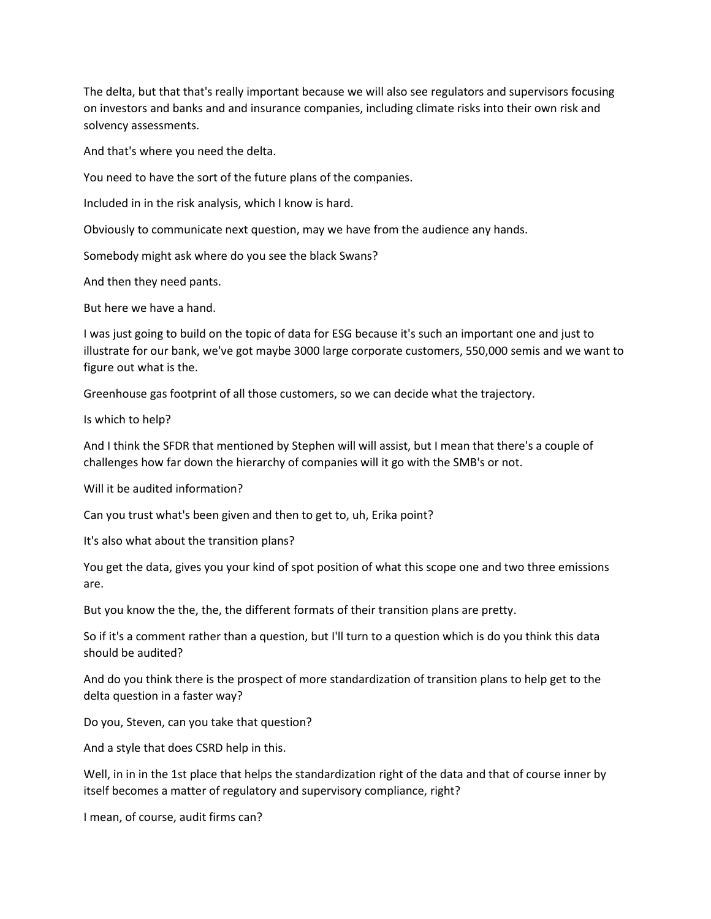The delta, but that that's really important because we will also see regulators and supervisors focusing on investors and banks and and insurance companies, including climate risks into their own risk and solvency assessments.

And that's where you need the delta.

You need to have the sort of the future plans of the companies.

Included in in the risk analysis, which I know is hard.

Obviously to communicate next question, may we have from the audience any hands.

Somebody might ask where do you see the black Swans?

And then they need pants.

But here we have a hand.

I was just going to build on the topic of data for ESG because it's such an important one and just to illustrate for our bank, we've got maybe 3000 large corporate customers, 550,000 semis and we want to figure out what is the.

Greenhouse gas footprint of all those customers, so we can decide what the trajectory.

Is which to help?

And I think the SFDR that mentioned by Stephen will will assist, but I mean that there's a couple of challenges how far down the hierarchy of companies will it go with the SMB's or not.

Will it be audited information?

Can you trust what's been given and then to get to, uh, Erika point?

It's also what about the transition plans?

You get the data, gives you your kind of spot position of what this scope one and two three emissions are.

But you know the the, the, the different formats of their transition plans are pretty.

So if it's a comment rather than a question, but I'll turn to a question which is do you think this data should be audited?

And do you think there is the prospect of more standardization of transition plans to help get to the delta question in a faster way?

Do you, Steven, can you take that question?

And a style that does CSRD help in this.

Well, in in in the 1st place that helps the standardization right of the data and that of course inner by itself becomes a matter of regulatory and supervisory compliance, right?

I mean, of course, audit firms can?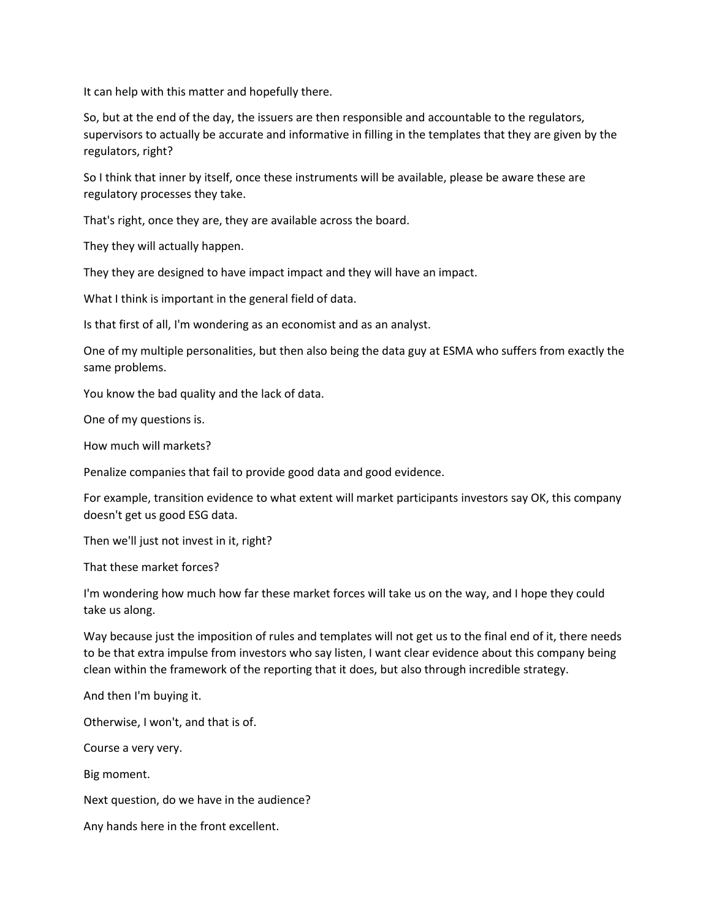It can help with this matter and hopefully there.

So, but at the end of the day, the issuers are then responsible and accountable to the regulators, supervisors to actually be accurate and informative in filling in the templates that they are given by the regulators, right?

So I think that inner by itself, once these instruments will be available, please be aware these are regulatory processes they take.

That's right, once they are, they are available across the board.

They they will actually happen.

They they are designed to have impact impact and they will have an impact.

What I think is important in the general field of data.

Is that first of all, I'm wondering as an economist and as an analyst.

One of my multiple personalities, but then also being the data guy at ESMA who suffers from exactly the same problems.

You know the bad quality and the lack of data.

One of my questions is.

How much will markets?

Penalize companies that fail to provide good data and good evidence.

For example, transition evidence to what extent will market participants investors say OK, this company doesn't get us good ESG data.

Then we'll just not invest in it, right?

That these market forces?

I'm wondering how much how far these market forces will take us on the way, and I hope they could take us along.

Way because just the imposition of rules and templates will not get us to the final end of it, there needs to be that extra impulse from investors who say listen, I want clear evidence about this company being clean within the framework of the reporting that it does, but also through incredible strategy.

And then I'm buying it.

Otherwise, I won't, and that is of.

Course a very very.

Big moment.

Next question, do we have in the audience?

Any hands here in the front excellent.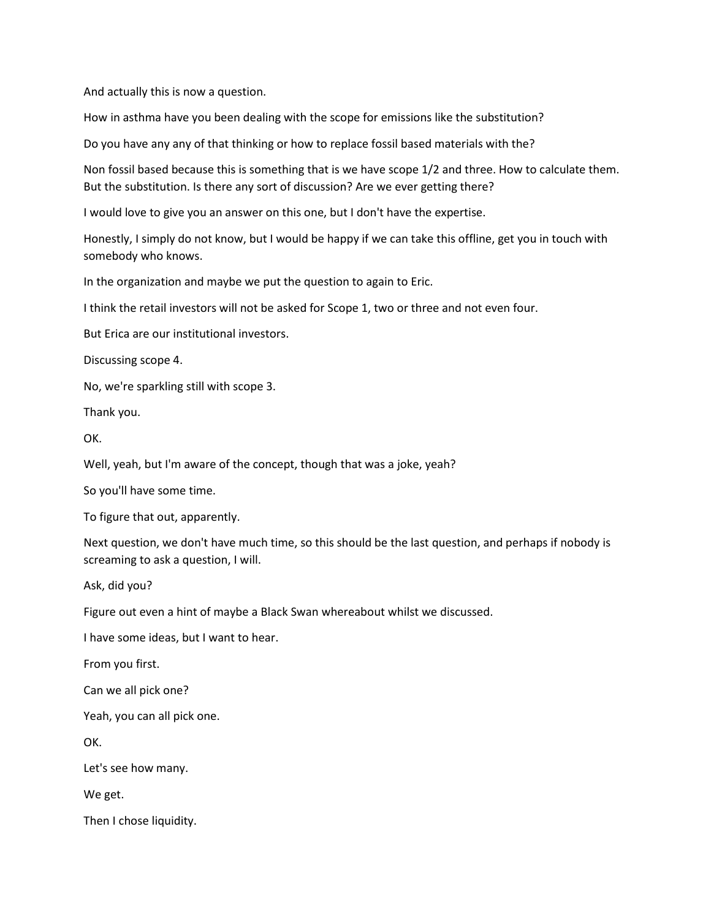And actually this is now a question.

How in asthma have you been dealing with the scope for emissions like the substitution?

Do you have any any of that thinking or how to replace fossil based materials with the?

Non fossil based because this is something that is we have scope 1/2 and three. How to calculate them. But the substitution. Is there any sort of discussion? Are we ever getting there?

I would love to give you an answer on this one, but I don't have the expertise.

Honestly, I simply do not know, but I would be happy if we can take this offline, get you in touch with somebody who knows.

In the organization and maybe we put the question to again to Eric.

I think the retail investors will not be asked for Scope 1, two or three and not even four.

But Erica are our institutional investors.

Discussing scope 4.

No, we're sparkling still with scope 3.

Thank you.

OK.

Well, yeah, but I'm aware of the concept, though that was a joke, yeah?

So you'll have some time.

To figure that out, apparently.

Next question, we don't have much time, so this should be the last question, and perhaps if nobody is screaming to ask a question, I will.

Ask, did you?

Figure out even a hint of maybe a Black Swan whereabout whilst we discussed.

I have some ideas, but I want to hear.

From you first.

Can we all pick one?

Yeah, you can all pick one.

OK.

Let's see how many.

We get.

Then I chose liquidity.